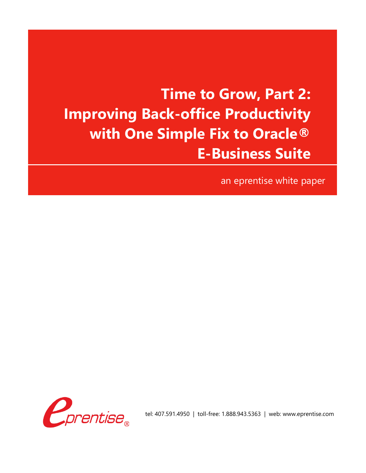## **Time to Grow, Part 2: Improving Back-office Productivity with One Simple Fix to Oracle® E-Business Suite**

an eprentise white paper



tel: 407.591.4950 | toll-free: 1.888.943.5363 | web: www.eprentise.com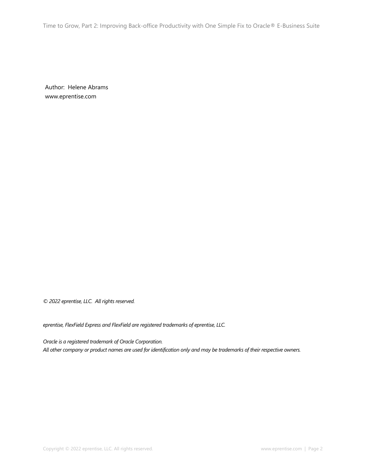Time to Grow, Part 2: Improving Back-office Productivity with One Simple Fix to Oracle® E-Business Suite

Author: Helene Abrams www.eprentise.com

*© 2022 eprentise, LLC. All rights reserved.*

*eprentise, FlexField Express and FlexField are registered trademarks of eprentise, LLC.*

*Oracle is a registered trademark of Oracle Corporation. All other company or product names are used for identification only and may be trademarks of their respective owners.*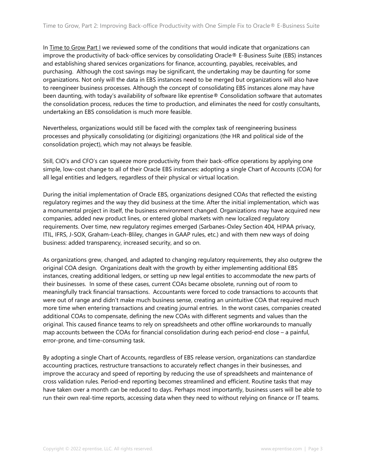In Time to [Grow](https://www.eprentise.com/wp-content/uploads/TimetoGrowPt1.pdf) Part I we reviewed some of the conditions that would indicate that organizations can improve the productivity of back-office services by consolidating Oracle® E-Business Suite (EBS) instances and establishing shared services organizations for finance, accounting, payables, receivables, and purchasing. Although the cost savings may be significant, the undertaking may be daunting for some organizations. Not only will the data in EBS instances need to be merged but organizations will also have to reengineer business processes. Although the concept of consolidating EBS instances alone may have been daunting, with today's availability of software like eprentise® Consolidation software that automates the consolidation process, reduces the time to production, and eliminates the need for costly consultants, undertaking an EBS consolidation is much more feasible.

Nevertheless, organizations would still be faced with the complex task of reengineering business processes and physically consolidating (or digitizing) organizations (the HR and political side of the consolidation project), which may not always be feasible.

Still, CIO's and CFO's can squeeze more productivity from their back-office operations by applying one simple, low-cost change to all of their Oracle EBS instances: adopting a single Chart of Accounts (COA) for all legal entities and ledgers, regardless of their physical or virtual location.

During the initial implementation of Oracle EBS, organizations designed COAs that reflected the existing regulatory regimes and the way they did business at the time. After the initial implementation, which was a monumental project in itself, the business environment changed. Organizations may have acquired new companies, added new product lines, or entered global markets with new localized regulatory requirements. Over time, new regulatory regimes emerged (Sarbanes-Oxley Section 404, HIPAA privacy, ITIL, IFRS, J-SOX, Graham-Leach-Bliley, changes in GAAP rules, etc.) and with them new ways of doing business: added transparency, increased security, and so on.

As organizations grew, changed, and adapted to changing regulatory requirements, they also outgrew the original COA design. Organizations dealt with the growth by either implementing additional EBS instances, creating additional ledgers, or setting up new legal entities to accommodate the new parts of their businesses. In some of these cases, current COAs became obsolete, running out of room to meaningfully track financial transactions. Accountants were forced to code transactions to accounts that were out of range and didn't make much business sense, creating an unintuitive COA that required much more time when entering transactions and creating journal entries. In the worst cases, companies created additional COAs to compensate, defining the new COAs with different segments and values than the original. This caused finance teams to rely on spreadsheets and other offline workarounds to manually map accounts between the COAs for financial consolidation during each period-end close – a painful, error-prone, and time-consuming task.

By adopting a single Chart of Accounts, regardless of EBS release version, organizations can standardize accounting practices, restructure transactions to accurately reflect changes in their businesses, and improve the accuracy and speed of reporting by reducing the use of spreadsheets and maintenance of cross validation rules. Period-end reporting becomes streamlined and efficient. Routine tasks that may have taken over a month can be reduced to days. Perhaps most importantly, business users will be able to run their own real-time reports, accessing data when they need to without relying on finance or IT teams.